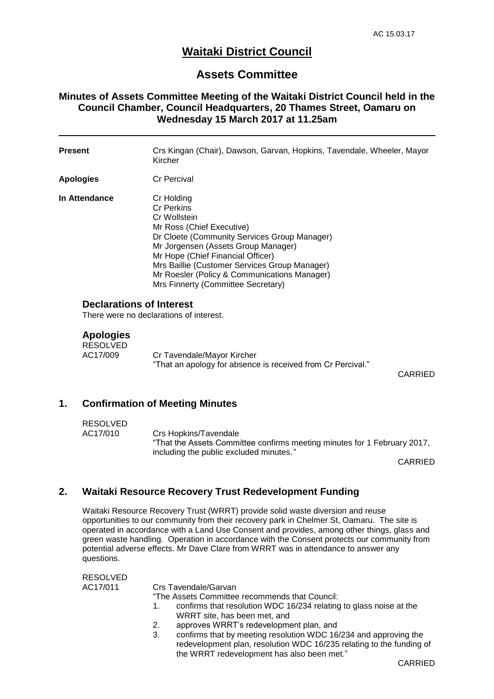# **Waitaki District Council**

## **Assets Committee**

## **Minutes of Assets Committee Meeting of the Waitaki District Council held in the Council Chamber, Council Headquarters, 20 Thames Street, Oamaru on Wednesday 15 March 2017 at 11.25am**

| <b>Present</b>                  | Crs Kingan (Chair), Dawson, Garvan, Hopkins, Tavendale, Wheeler, Mayor<br>Kircher                                                                                                                                                                                                                                                               |
|---------------------------------|-------------------------------------------------------------------------------------------------------------------------------------------------------------------------------------------------------------------------------------------------------------------------------------------------------------------------------------------------|
| <b>Apologies</b>                | <b>Cr Percival</b>                                                                                                                                                                                                                                                                                                                              |
| In Attendance                   | Cr Holding<br><b>Cr Perkins</b><br>Cr Wollstein<br>Mr Ross (Chief Executive)<br>Dr Cloete (Community Services Group Manager)<br>Mr Jorgensen (Assets Group Manager)<br>Mr Hope (Chief Financial Officer)<br>Mrs Baillie (Customer Services Group Manager)<br>Mr Roesler (Policy & Communications Manager)<br>Mrs Finnerty (Committee Secretary) |
| <b>Declarations of Interest</b> |                                                                                                                                                                                                                                                                                                                                                 |

There were no declarations of interest.

#### **Apologies**

| <b>RESOLVED</b> |                                                             |  |
|-----------------|-------------------------------------------------------------|--|
| AC17/009        | Cr Tavendale/Mayor Kircher                                  |  |
|                 | "That an apology for absence is received from Cr Percival." |  |

CARRIED

#### **1. Confirmation of Meeting Minutes**

### RESOLVED

AC17/010 Crs Hopkins/Tavendale "That the Assets Committee confirms meeting minutes for 1 February 2017, including the public excluded minutes.*"*

CARRIED

### **2. Waitaki Resource Recovery Trust Redevelopment Funding**

Waitaki Resource Recovery Trust (WRRT) provide solid waste diversion and reuse opportunities to our community from their recovery park in Chelmer St, Oamaru. The site is operated in accordance with a Land Use Consent and provides, among other things, glass and green waste handling. Operation in accordance with the Consent protects our community from potential adverse effects. Mr Dave Clare from WRRT was in attendance to answer any questions.

| <b>RESOLVED</b> |                                                                        |
|-----------------|------------------------------------------------------------------------|
| AC17/011        | Crs Tavendale/Garvan                                                   |
|                 | "The Assets Committee recommends that Council:                         |
|                 | confirms that resolution WDC 16/234 relating to glass noise at the     |
|                 | WRRT site, has been met, and                                           |
|                 | approves WRRT's redevelopment plan, and<br>2.                          |
|                 | confirms that by meeting resolution WDC 16/234 and approving the<br>3. |
|                 | redevelopment plan, resolution WDC 16/235 relating to the funding of   |
|                 | the WRRT redevelopment has also been met."                             |